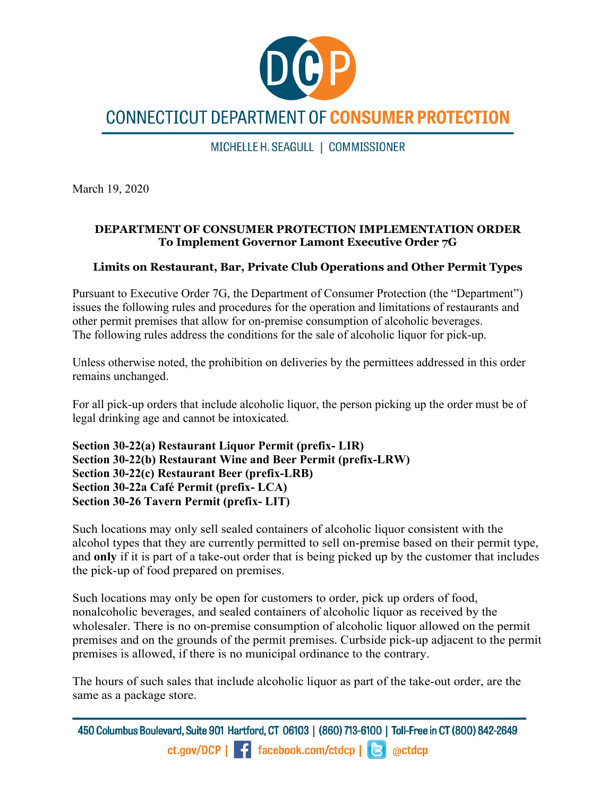

# **CONNECTICUT DEPARTMENT OF CONSUMER PROTECTION**

MICHELLE H. SEAGULL | COMMISSIONER

March 19, 2020

#### **DEPARTMENT OF CONSUMER PROTECTION IMPLEMENTATION ORDER To Implement Governor Lamont Executive Order 7G**

## **Limits on Restaurant, Bar, Private Club Operations and Other Permit Types**

Pursuant to Executive Order 7G, the Department of Consumer Protection (the "Department") issues the following rules and procedures for the operation and limitations of restaurants and other permit premises that allow for on-premise consumption of alcoholic beverages. The following rules address the conditions for the sale of alcoholic liquor for pick-up.

Unless otherwise noted, the prohibition on deliveries by the permittees addressed in this order remains unchanged.

For all pick-up orders that include alcoholic liquor, the person picking up the order must be of legal drinking age and cannot be intoxicated.

```
Section 30-22(a) Restaurant Liquor Permit (prefix- LIR)
Section 30-22(b) Restaurant Wine and Beer Permit (prefix-LRW)
Section 30-22(c) Restaurant Beer (prefix-LRB)
Section 30-22a Café Permit (prefix- LCA)
Section 30-26 Tavern Permit (prefix- LIT)
```
Such locations may only sell sealed containers of alcoholic liquor consistent with the alcohol types that they are currently permitted to sell on-premise based on their permit type, and **only** if it is part of a take-out order that is being picked up by the customer that includes the pick-up of food prepared on premises.

Such locations may only be open for customers to order, pick up orders of food, nonalcoholic beverages, and sealed containers of alcoholic liquor as received by the wholesaler. There is no on-premise consumption of alcoholic liquor allowed on the permit premises and on the grounds of the permit premises. Curbside pick-up adjacent to the permit premises is allowed, if there is no municipal ordinance to the contrary.

The hours of such sales that include alcoholic liquor as part of the take-out order, are the same as a package store.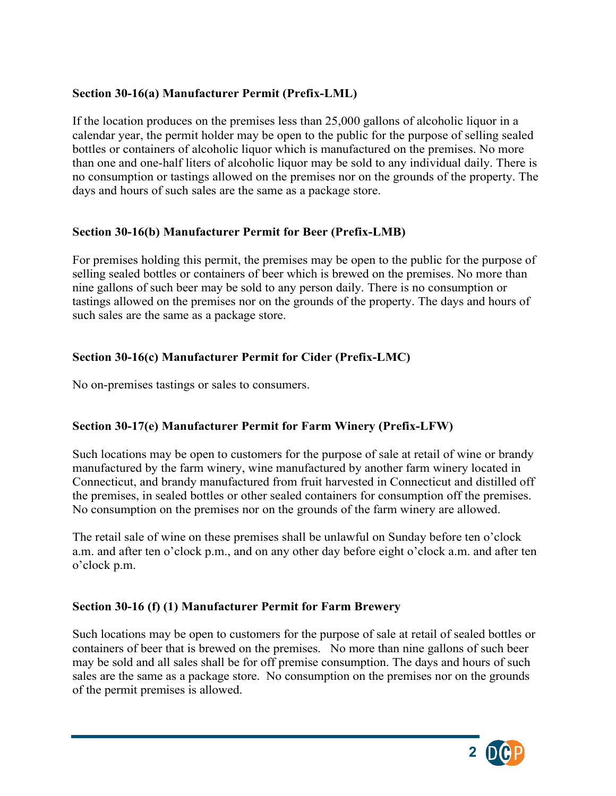# **Section 30-16(a) Manufacturer Permit (Prefix-LML)**

If the location produces on the premises less than 25,000 gallons of alcoholic liquor in a calendar year, the permit holder may be open to the public for the purpose of selling sealed bottles or containers of alcoholic liquor which is manufactured on the premises. No more than one and one-half liters of alcoholic liquor may be sold to any individual daily. There is no consumption or tastings allowed on the premises nor on the grounds of the property. The days and hours of such sales are the same as a package store.

#### **Section 30-16(b) Manufacturer Permit for Beer (Prefix-LMB)**

For premises holding this permit, the premises may be open to the public for the purpose of selling sealed bottles or containers of beer which is brewed on the premises. No more than nine gallons of such beer may be sold to any person daily. There is no consumption or tastings allowed on the premises nor on the grounds of the property. The days and hours of such sales are the same as a package store.

## **Section 30-16(c) Manufacturer Permit for Cider (Prefix-LMC)**

No on-premises tastings or sales to consumers.

# **Section 30-17(e) Manufacturer Permit for Farm Winery (Prefix-LFW)**

Such locations may be open to customers for the purpose of sale at retail of wine or brandy manufactured by the farm winery, wine manufactured by another farm winery located in Connecticut, and brandy manufactured from fruit harvested in Connecticut and distilled off the premises, in sealed bottles or other sealed containers for consumption off the premises. No consumption on the premises nor on the grounds of the farm winery are allowed.

The retail sale of wine on these premises shall be unlawful on Sunday before ten o'clock a.m. and after ten o'clock p.m., and on any other day before eight o'clock a.m. and after ten o'clock p.m.

#### **Section 30-16 (f) (1) Manufacturer Permit for Farm Brewery**

Such locations may be open to customers for the purpose of sale at retail of sealed bottles or containers of beer that is brewed on the premises. No more than nine gallons of such beer may be sold and all sales shall be for off premise consumption. The days and hours of such sales are the same as a package store. No consumption on the premises nor on the grounds of the permit premises is allowed.